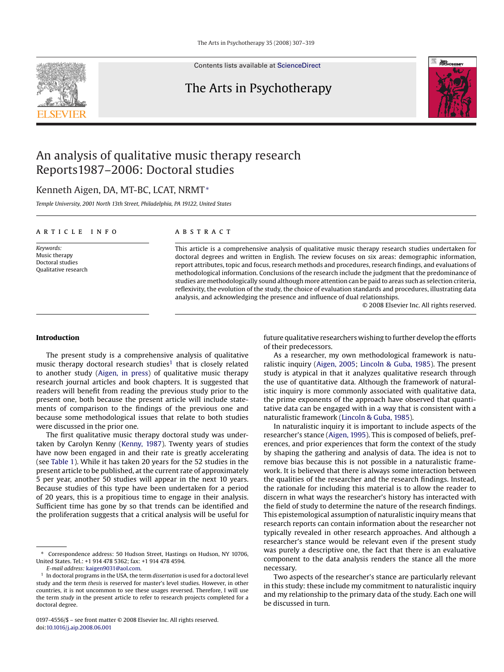Contents lists available at [ScienceDirect](http://www.sciencedirect.com/science/journal/01974556)

## The Arts in Psychotherapy



## An analysis of qualitative music therapy research Reports1987–2006: Doctoral studies

### Kenneth Aigen, DA, MT-BC, LCAT, NRMT<sup>∗</sup>

*Temple University, 2001 North 13th Street, Philadelphia, PA 19122, United States*

#### article info

*Keywords:* Music therapy Doctoral studies Qualitative research

#### **ABSTRACT**

This article is a comprehensive analysis of qualitative music therapy research studies undertaken for doctoral degrees and written in English. The review focuses on six areas: demographic information, report attributes, topic and focus, research methods and procedures, research findings, and evaluations of methodological information. Conclusions of the research include the judgment that the predominance of studies are methodologically sound although more attention can be paid to areas such as selection criteria, reflexivity, the evolution of the study, the choice of evaluation standards and procedures, illustrating data analysis, and acknowledging the presence and influence of dual relationships.

© 2008 Elsevier Inc. All rights reserved.

#### **Introduction**

The present study is a comprehensive analysis of qualitative music therapy doctoral research studies<sup>1</sup> that is closely related to another study [\(Aigen, in press\)](#page--1-0) of qualitative music therapy research journal articles and book chapters. It is suggested that readers will benefit from reading the previous study prior to the present one, both because the present article will include statements of comparison to the findings of the previous one and because some methodological issues that relate to both studies were discussed in the prior one.

The first qualitative music therapy doctoral study was undertaken by Carolyn Kenny ([Kenny, 1987\).](#page--1-0) Twenty years of studies have now been engaged in and their rate is greatly accelerating (see [Table 1\).](#page-1-0) While it has taken 20 years for the 52 studies in the present article to be published, at the current rate of approximately 5 per year, another 50 studies will appear in the next 10 years. Because studies of this type have been undertaken for a period of 20 years, this is a propitious time to engage in their analysis. Sufficient time has gone by so that trends can be identified and the proliferation suggests that a critical analysis will be useful for

future qualitative researchers wishing to further develop the efforts of their predecessors.

As a researcher, my own methodological framework is naturalistic inquiry [\(Aigen, 2005;](#page--1-0) [Lincoln & Guba, 1985\).](#page--1-0) The present study is atypical in that it analyzes qualitative research through the use of quantitative data. Although the framework of naturalistic inquiry is more commonly associated with qualitative data, the prime exponents of the approach have observed that quantitative data can be engaged with in a way that is consistent with a naturalistic framework ([Lincoln & Guba, 1985\).](#page--1-0)

In naturalistic inquiry it is important to include aspects of the researcher's stance [\(Aigen, 1995\).](#page--1-0) This is composed of beliefs, preferences, and prior experiences that form the context of the study by shaping the gathering and analysis of data. The idea is not to remove bias because this is not possible in a naturalistic framework. It is believed that there is always some interaction between the qualities of the researcher and the research findings. Instead, the rationale for including this material is to allow the reader to discern in what ways the researcher's history has interacted with the field of study to determine the nature of the research findings. This epistemological assumption of naturalistic inquiry means that research reports can contain information about the researcher not typically revealed in other research approaches. And although a researcher's stance would be relevant even if the present study was purely a descriptive one, the fact that there is an evaluative component to the data analysis renders the stance all the more necessary.

Two aspects of the researcher's stance are particularly relevant in this study: these include my commitment to naturalistic inquiry and my relationship to the primary data of the study. Each one will be discussed in turn.

<sup>∗</sup> Correspondence address: 50 Hudson Street, Hastings on Hudson, NY 10706, United States. Tel.: +1 914 478 5362; fax: +1 914 478 4594.

*E-mail address:* [kaigen9031@aol.com.](mailto:kaigen9031@aol.com)

<sup>1</sup> In doctoral programs in the USA, the term *dissertation* is used for a doctoral level study and the term *thesis* is reserved for master's level studies. However, in other countries, it is not uncommon to see these usages reversed. Therefore, I will use the term *study* in the present article to refer to research projects completed for a doctoral degree.

<sup>0197-4556/\$ –</sup> see front matter © 2008 Elsevier Inc. All rights reserved. doi:[10.1016/j.aip.2008.06.001](dx.doi.org/10.1016/j.aip.2008.06.001)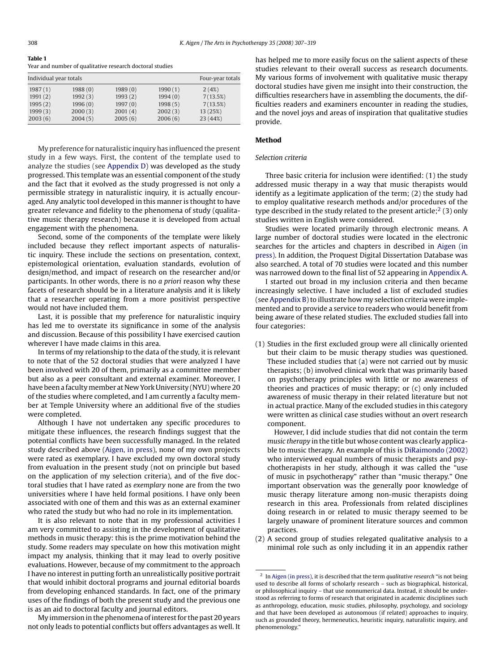#### <span id="page-1-0"></span>**Table 1** Year and number of qualitative research doctoral studies

| Individual year totals |         |         |         |         | Four-year totals |
|------------------------|---------|---------|---------|---------|------------------|
|                        | 1987(1) | 1988(0) | 1989(0) | 1990(1) | 2(4%)            |
|                        | 1991(2) | 1992(3) | 1993(2) | 1994(0) | 7(13.5%)         |
|                        | 1995(2) | 1996(0) | 1997(0) | 1998(5) | 7(13.5%)         |
|                        | 1999(3) | 2000(3) | 2001(4) | 2002(3) | 13 (25%)         |
|                        | 2003(6) | 2004(5) | 2005(6) | 2006(6) | 23 (44%)         |
|                        |         |         |         |         |                  |

My preference for naturalistic inquiry has influenced the present study in a few ways. First, the content of the template used to analyze the studies (see [Appendix D\)](#page--1-0) was developed as the study progressed. This template was an essential component of the study and the fact that it evolved as the study progressed is not only a permissible strategy in naturalistic inquiry, it is actually encouraged. Any analytic tool developed in this manner is thought to have greater relevance and fidelity to the phenomena of study (qualitative music therapy research) because it is developed from actual engagement with the phenomena.

Second, some of the components of the template were likely included because they reflect important aspects of naturalistic inquiry. These include the sections on presentation, context, epistemological orientation, evaluation standards, evolution of design/method, and impact of research on the researcher and/or participants. In other words, there is no *a priori* reason why these facets of research should be in a literature analysis and it is likely that a researcher operating from a more positivist perspective would not have included them.

Last, it is possible that my preference for naturalistic inquiry has led me to overstate its significance in some of the analysis and discussion. Because of this possibility I have exercised caution wherever I have made claims in this area.

In terms of my relationship to the data of the study, it is relevant to note that of the 52 doctoral studies that were analyzed I have been involved with 20 of them, primarily as a committee member but also as a peer consultant and external examiner. Moreover, I have been a faculty member at New York University (NYU) where 20 of the studies where completed, and I am currently a faculty member at Temple University where an additional five of the studies were completed.

Although I have not undertaken any specific procedures to mitigate these influences, the research findings suggest that the potential conflicts have been successfully managed. In the related study described above [\(Aigen, in press\),](#page--1-0) none of my own projects were rated as exemplary. I have excluded my own doctoral study from evaluation in the present study (not on principle but based on the application of my selection criteria), and of the five doctoral studies that I have rated as *exemplary* none are from the two universities where I have held formal positions. I have only been associated with one of them and this was as an external examiner who rated the study but who had no role in its implementation.

It is also relevant to note that in my professional activities I am very committed to assisting in the development of qualitative methods in music therapy: this is the prime motivation behind the study. Some readers may speculate on how this motivation might impact my analysis, thinking that it may lead to overly positive evaluations. However, because of my commitment to the approach I have no interest in putting forth an unrealistically positive portrait that would inhibit doctoral programs and journal editorial boards from developing enhanced standards. In fact, one of the primary uses of the findings of both the present study and the previous one is as an aid to doctoral faculty and journal editors.

My immersion in the phenomena of interest for the past 20 years not only leads to potential conflicts but offers advantages as well. It has helped me to more easily focus on the salient aspects of these studies relevant to their overall success as research documents. My various forms of involvement with qualitative music therapy doctoral studies have given me insight into their construction, the difficulties researchers have in assembling the documents, the difficulties readers and examiners encounter in reading the studies, and the novel joys and areas of inspiration that qualitative studies provide.

#### **Method**

#### *Selection criteria*

Three basic criteria for inclusion were identified: (1) the study addressed music therapy in a way that music therapists would identify as a legitimate application of the term; (2) the study had to employ qualitative research methods and/or procedures of the type described in the study related to the present article: $2(3)$  only studies written in English were considered.

Studies were located primarily through electronic means. A large number of doctoral studies were located in the electronic searches for the articles and chapters in described in [Aigen \(in](#page--1-0) [press\). I](#page--1-0)n addition, the Proquest Digital Dissertation Database was also searched. A total of 70 studies were located and this number was narrowed down to the final list of 52 appearing in [Appendix A.](#page--1-0)

I started out broad in my inclusion criteria and then became increasingly selective. I have included a list of excluded studies (see [Appendix B\) t](#page--1-0)o illustrate how my selection criteria were implemented and to provide a service to readers who would benefit from being aware of these related studies. The excluded studies fall into four categories:

(1) Studies in the first excluded group were all clinically oriented but their claim to be music therapy studies was questioned. These included studies that (a) were not carried out by music therapists; (b) involved clinical work that was primarily based on psychotherapy principles with little or no awareness of theories and practices of music therapy; or (c) only included awareness of music therapy in their related literature but not in actual practice. Many of the excluded studies in this category were written as clinical case studies without an overt research component.

However, I did include studies that did not contain the term *music therapy* in the title but whose content was clearly applicable to music therapy. An example of this is [DiRaimondo \(2002\)](#page--1-0) who interviewed equal numbers of music therapists and psychotherapists in her study, although it was called the "use of music in psychotherapy" rather than "music therapy." One important observation was the generally poor knowledge of music therapy literature among non-music therapists doing research in this area. Professionals from related disciplines doing research in or related to music therapy seemed to be largely unaware of prominent literature sources and common practices.

(2) A second group of studies relegated qualitative analysis to a minimal role such as only including it in an appendix rather

<sup>2</sup> In [Aigen \(in press\), it](#page--1-0) is described that the term *qualitative research* "is not being used to describe all forms of scholarly research – such as biographical, historical, or philosophical inquiry – that use nonnumerical data. Instead, it should be understood as referring to forms of research that originated in academic disciplines such as anthropology, education, music studies, philosophy, psychology, and sociology and that have been developed as autonomous (if related) approaches to inquiry, such as grounded theory, hermeneutics, heuristic inquiry, naturalistic inquiry, and phenomenology."